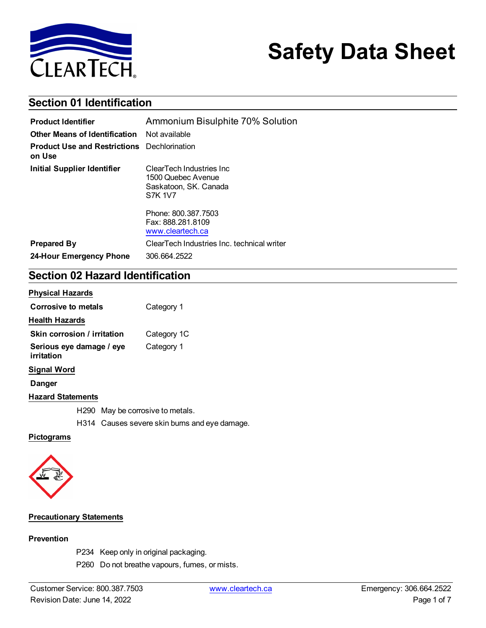

# **Safety Data Sheet**

# **Section 01 Identification**

| <b>Product Identifier</b>                                    | Ammonium Bisulphite 70% Solution                                                           |  |
|--------------------------------------------------------------|--------------------------------------------------------------------------------------------|--|
| <b>Other Means of Identification</b> Not available           |                                                                                            |  |
| <b>Product Use and Restrictions</b> Dechlorination<br>on Use |                                                                                            |  |
| Initial Supplier Identifier                                  | ClearTech Industries Inc.<br>1500 Quebec Avenue<br>Saskatoon, SK. Canada<br><b>S7K 1V7</b> |  |
|                                                              | Phone: 800.387.7503<br>Fax: 888.281.8109<br>www.cleartech.ca                               |  |
| <b>Prepared By</b>                                           | ClearTech Industries Inc. technical writer                                                 |  |
| 24-Hour Emergency Phone                                      | 306.664.2522                                                                               |  |

# **Section 02 Hazard Identification**

#### **Physical Hazards**

| Corrosive to metals                    | Category 1  |
|----------------------------------------|-------------|
| <b>Health Hazards</b>                  |             |
| Skin corrosion / irritation            | Category 1C |
| Serious eye damage / eye<br>irritation | Category 1  |
| Signal Word                            |             |
| Danger                                 |             |
| <b>Hazard Statements</b>               |             |

H290 May be corrosive to metals.

H314 Causes severe skin burns and eye damage.

### **Pictograms**



#### **Precautionary Statements**

#### **Prevention**

- P234 Keep only in original packaging.
- P260 Do not breathe vapours, fumes, or mists.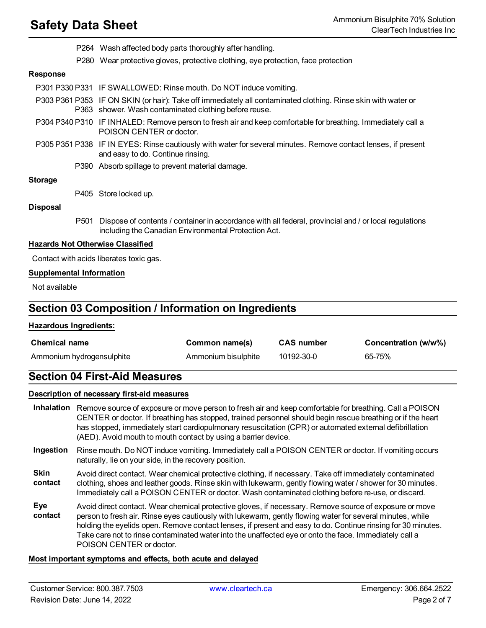- P264 Wash affected body parts thoroughly after handling.
- P280 Wear protective gloves, protective clothing, eye protection, face protection

#### **Response**

P301 P330 P331 IF SWALLOWED: Rinse mouth. Do NOT induce vomiting.

- P303 P361 P353 IF ON SKIN (or hair): Take off immediately all contaminated clothing. Rinse skin with water or P363 shower. Wash contaminated clothing before reuse.
- P304 P340 P310 IF INHALED: Remove person to fresh air and keep comfortable for breathing. Immediately call a POISON CENTER or doctor.
- P305 P351 P338 IF IN EYES: Rinse cautiously with water for several minutes. Remove contact lenses, if present and easy to do. Continue rinsing.
	- P390 Absorb spillage to prevent material damage.

#### **Storage**

P405 Store locked up.

#### **Disposal**

P501 Dispose of contents / container in accordance with all federal, provincial and / or local regulations including the Canadian Environmental Protection Act.

#### **Hazards Not Otherwise Classified**

Contact with acids liberates toxic gas.

#### **Supplemental Information**

Not available

## **Section 03 Composition / Information on Ingredients**

#### **Hazardous Ingredients:**

| <b>Chemical name</b>      | Common name(s)      | <b>CAS number</b> | Concentration (w/w%) |
|---------------------------|---------------------|-------------------|----------------------|
| Ammonium hydrogensulphite | Ammonium bisulphite | 10192-30-0        | 65-75%               |

# **Section 04 First-Aid Measures**

#### **Description of necessary first-aid measures**

**Inhalation** Remove source of exposure or move person to fresh air and keep comfortable for breathing. Call a POISON CENTER or doctor. If breathing has stopped, trained personnel should begin rescue breathing or if the heart has stopped, immediately start cardiopulmonary resuscitation (CPR) or automated external defibrillation (AED). Avoid mouth to mouth contact by using a barrier device.

**Ingestion** Rinse mouth. Do NOT induce vomiting. Immediately call a POISON CENTER or doctor. If vomiting occurs naturally, lie on your side, in the recovery position.

- **Skin contact** Avoid direct contact. Wear chemical protective clothing, if necessary. Take off immediately contaminated clothing, shoes and leather goods. Rinse skin with lukewarm, gently flowing water / shower for 30 minutes. Immediately call a POISON CENTER or doctor. Wash contaminated clothing before re-use, or discard.
- **Eye contact** Avoid direct contact. Wear chemical protective gloves, if necessary. Remove source of exposure or move person to fresh air. Rinse eyes cautiously with lukewarm, gently flowing water for several minutes, while holding the eyelids open. Remove contact lenses, if present and easy to do. Continue rinsing for 30 minutes. Take care not to rinse contaminated water into the unaffected eye or onto the face. Immediately call a POISON CENTER or doctor.

### **Most important symptoms and effects, both acute and delayed**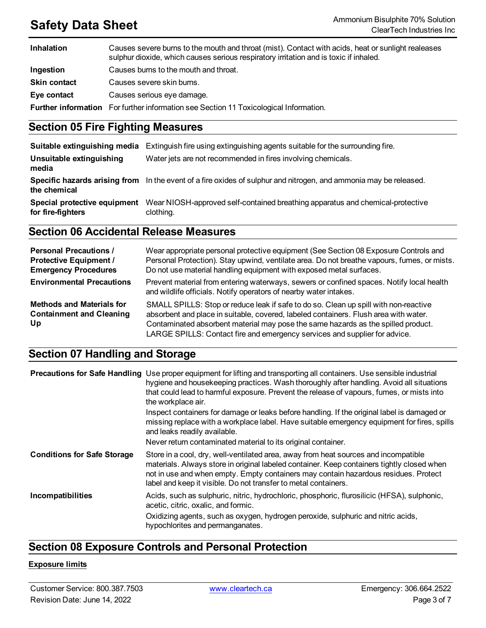| <b>Inhalation</b>   | Causes severe burns to the mouth and throat (mist). Contact with acids, heat or sunlight realeases<br>sulphur dioxide, which causes serious respiratory irritation and is toxic if inhaled. |
|---------------------|---------------------------------------------------------------------------------------------------------------------------------------------------------------------------------------------|
| Ingestion           | Causes burns to the mouth and throat.                                                                                                                                                       |
| <b>Skin contact</b> | Causes severe skin burns.                                                                                                                                                                   |
| Eye contact         | Causes serious eye damage.                                                                                                                                                                  |
|                     | <b>Further information</b> For further information see Section 11 Toxicological Information.                                                                                                |

# **Section 05 Fire Fighting Measures**

| Suitable extinguishing media                      | Extinguish fire using extinguishing agents suitable for the surrounding fire.                                     |
|---------------------------------------------------|-------------------------------------------------------------------------------------------------------------------|
| Unsuitable extinguishing<br>media                 | Water jets are not recommended in fires involving chemicals.                                                      |
| the chemical                                      | Specific hazards arising from In the event of a fire oxides of sulphur and nitrogen, and ammonia may be released. |
| Special protective equipment<br>for fire-fighters | Wear NIOSH-approved self-contained breathing apparatus and chemical-protective<br>clothing.                       |

# **Section 06 Accidental Release Measures**

| <b>Personal Precautions /</b><br><b>Protective Equipment /</b><br><b>Emergency Procedures</b> | Wear appropriate personal protective equipment (See Section 08 Exposure Controls and<br>Personal Protection). Stay upwind, ventilate area. Do not breathe vapours, fumes, or mists.<br>Do not use material handling equipment with exposed metal surfaces.                                                                                      |
|-----------------------------------------------------------------------------------------------|-------------------------------------------------------------------------------------------------------------------------------------------------------------------------------------------------------------------------------------------------------------------------------------------------------------------------------------------------|
| <b>Environmental Precautions</b>                                                              | Prevent material from entering waterways, sewers or confined spaces. Notify local health<br>and wildlife officials. Notify operators of nearby water intakes.                                                                                                                                                                                   |
| <b>Methods and Materials for</b><br><b>Containment and Cleaning</b><br>Up                     | SMALL SPILLS: Stop or reduce leak if safe to do so. Clean up spill with non-reactive<br>absorbent and place in suitable, covered, labeled containers. Flush area with water.<br>Contaminated absorbent material may pose the same hazards as the spilled product.<br>LARGE SPILLS: Contact fire and emergency services and supplier for advice. |

# **Section 07 Handling and Storage**

|                                    | Precautions for Safe Handling Use proper equipment for lifting and transporting all containers. Use sensible industrial<br>hygiene and housekeeping practices. Wash thoroughly after handling. Avoid all situations<br>that could lead to harmful exposure. Prevent the release of vapours, fumes, or mists into<br>the workplace air.      |
|------------------------------------|---------------------------------------------------------------------------------------------------------------------------------------------------------------------------------------------------------------------------------------------------------------------------------------------------------------------------------------------|
|                                    | Inspect containers for damage or leaks before handling. If the original label is damaged or<br>missing replace with a workplace label. Have suitable emergency equipment for fires, spills<br>and leaks readily available.                                                                                                                  |
|                                    | Never return contaminated material to its original container.                                                                                                                                                                                                                                                                               |
| <b>Conditions for Safe Storage</b> | Store in a cool, dry, well-ventilated area, away from heat sources and incompatible<br>materials. Always store in original labeled container. Keep containers tightly closed when<br>not in use and when empty. Empty containers may contain hazardous residues. Protect<br>label and keep it visible. Do not transfer to metal containers. |
| Incompatibilities                  | Acids, such as sulphuric, nitric, hydrochloric, phosphoric, flurosilicic (HFSA), sulphonic,<br>acetic, citric, oxalic, and formic.<br>Oxidizing agents, such as oxygen, hydrogen peroxide, sulphuric and nitric acids,<br>hypochlorites and permanganates.                                                                                  |

# **Section 08 Exposure Controls and Personal Protection**

### **Exposure limits**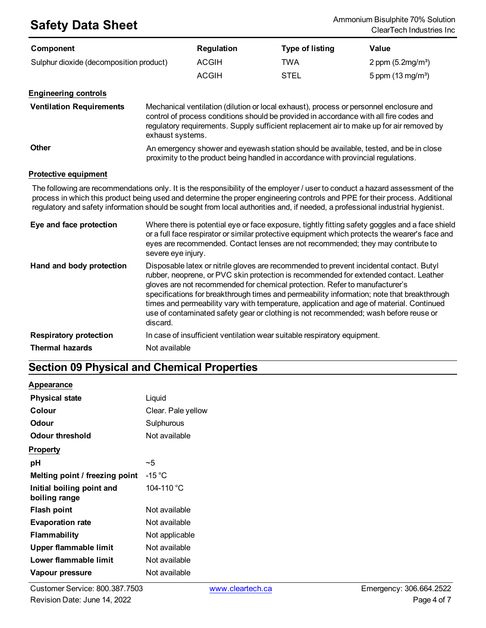| Component                               | <b>Regulation</b> | <b>Type of listing</b> | Value                       |
|-----------------------------------------|-------------------|------------------------|-----------------------------|
| Sulphur dioxide (decomposition product) | <b>ACGIH</b>      | TWA                    | 2 ppm $(5.2 \text{mg/m}^3)$ |
|                                         | ACGIH             | <b>STEL</b>            | 5 ppm $(13 \text{ mg/m}^3)$ |

### **Engineering controls**

| <b>Ventilation Requirements</b> | Mechanical ventilation (dilution or local exhaust), process or personnel enclosure and<br>control of process conditions should be provided in accordance with all fire codes and<br>regulatory requirements. Supply sufficient replacement air to make up for air removed by<br>exhaust systems. |
|---------------------------------|--------------------------------------------------------------------------------------------------------------------------------------------------------------------------------------------------------------------------------------------------------------------------------------------------|
| <b>Other</b>                    | An emergency shower and everyors of principal delayers of the reveal and he in close                                                                                                                                                                                                             |

**Other** An emergency shower and eyewash station should be available, tested, and be in close proximity to the product being handled in accordance with provincial regulations.

### **Protective equipment**

The following are recommendations only. It is the responsibility of the employer / user to conduct a hazard assessment of the process in which this product being used and determine the proper engineering controls and PPE for their process. Additional regulatory and safety information should be sought from local authorities and, if needed, a professional industrial hygienist.

| Eye and face protection       | Where there is potential eye or face exposure, tightly fitting safety goggles and a face shield<br>or a full face respirator or similar protective equipment which protects the wearer's face and<br>eyes are recommended. Contact lenses are not recommended; they may contribute to<br>severe eye injury.                                                                                                                                                                                                                                                   |
|-------------------------------|---------------------------------------------------------------------------------------------------------------------------------------------------------------------------------------------------------------------------------------------------------------------------------------------------------------------------------------------------------------------------------------------------------------------------------------------------------------------------------------------------------------------------------------------------------------|
| Hand and body protection      | Disposable latex or nitrile gloves are recommended to prevent incidental contact. Butyl<br>rubber, neoprene, or PVC skin protection is recommended for extended contact. Leather<br>gloves are not recommended for chemical protection. Refer to manufacturer's<br>specifications for breakthrough times and permeability information; note that breakthrough<br>times and permeability vary with temperature, application and age of material. Continued<br>use of contaminated safety gear or clothing is not recommended; wash before reuse or<br>discard. |
| <b>Respiratory protection</b> | In case of insufficient ventilation wear suitable respiratory equipment.                                                                                                                                                                                                                                                                                                                                                                                                                                                                                      |
| <b>Thermal hazards</b>        | Not available                                                                                                                                                                                                                                                                                                                                                                                                                                                                                                                                                 |

# **Section 09 Physical and Chemical Properties**

### **Appearance**

| <b>Physical state</b>                      | Liquid             |
|--------------------------------------------|--------------------|
| Colour                                     | Clear. Pale yellow |
| <b>Odour</b>                               | Sulphurous         |
| <b>Odour threshold</b>                     | Not available      |
| <b>Property</b>                            |                    |
| рH                                         | ~5                 |
| Melting point / freezing point             | -15 $^{\circ}$ C   |
| Initial boiling point and<br>boiling range | 104-110 °C         |
| <b>Flash point</b>                         | Not available      |
| <b>Evaporation rate</b>                    | Not available      |
| <b>Flammability</b>                        | Not applicable     |
| Upper flammable limit                      | Not available      |
| Lower flammable limit                      | Not available      |
| Vapour pressure                            | Not available      |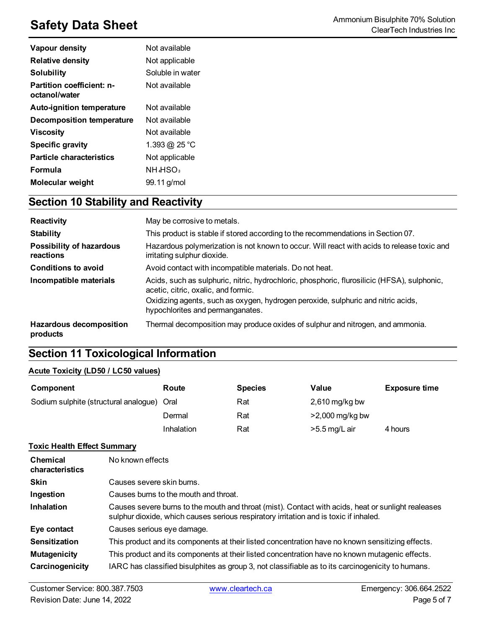| <b>Vapour density</b>                      | Not available                    |
|--------------------------------------------|----------------------------------|
| <b>Relative density</b>                    | Not applicable                   |
| Solubility                                 | Soluble in water                 |
| Partition coefficient: n-<br>octanol/water | Not available                    |
| <b>Auto-ignition temperature</b>           | Not available                    |
| Decomposition temperature                  | Not available                    |
| <b>Viscosity</b>                           | Not available                    |
| <b>Specific gravity</b>                    | 1.393 @ 25 °C                    |
| <b>Particle characteristics</b>            | Not applicable                   |
| <b>Formula</b>                             | NH <sub>4</sub> HSO <sub>3</sub> |
| Molecular weight                           | 99.11 g/mol                      |

# **Section 10 Stability and Reactivity**

| <b>Reactivity</b>                            | May be corrosive to metals.                                                                                                        |
|----------------------------------------------|------------------------------------------------------------------------------------------------------------------------------------|
| <b>Stability</b>                             | This product is stable if stored according to the recommendations in Section 07.                                                   |
| <b>Possibility of hazardous</b><br>reactions | Hazardous polymerization is not known to occur. Will react with acids to release toxic and<br>irritating sulphur dioxide.          |
| <b>Conditions to avoid</b>                   | Avoid contact with incompatible materials. Do not heat.                                                                            |
| Incompatible materials                       | Acids, such as sulphuric, nitric, hydrochloric, phosphoric, flurosilicic (HFSA), sulphonic,<br>acetic, citric, oxalic, and formic. |
|                                              | Oxidizing agents, such as oxygen, hydrogen peroxide, sulphuric and nitric acids,<br>hypochlorites and permanganates.               |
| <b>Hazardous decomposition</b><br>products   | Thermal decomposition may produce oxides of sulphur and nitrogen, and ammonia.                                                     |

# **Section 11 Toxicological Information**

### **Acute Toxicity (LD50 / LC50 values)**

| Component                             | Route      | <b>Species</b> | Value             | <b>Exposure time</b> |
|---------------------------------------|------------|----------------|-------------------|----------------------|
| Sodium sulphite (structural analogue) | Oral       | Rat            | 2,610 mg/kg bw    |                      |
|                                       | Dermal     | Rat            | $>2,000$ mg/kg bw |                      |
|                                       | Inhalation | Rat            | $>5.5$ mg/L air   | 4 hours              |

### **Toxic Health Effect Summary**

| <b>Chemical</b><br>characteristics | No known effects                                                                                                                                                                            |
|------------------------------------|---------------------------------------------------------------------------------------------------------------------------------------------------------------------------------------------|
| <b>Skin</b>                        | Causes severe skin burns.                                                                                                                                                                   |
| Ingestion                          | Causes burns to the mouth and throat.                                                                                                                                                       |
| <b>Inhalation</b>                  | Causes severe burns to the mouth and throat (mist). Contact with acids, heat or sunlight realeases<br>sulphur dioxide, which causes serious respiratory irritation and is toxic if inhaled. |
| Eye contact                        | Causes serious eye damage.                                                                                                                                                                  |
| <b>Sensitization</b>               | This product and its components at their listed concentration have no known sensitizing effects.                                                                                            |
| <b>Mutagenicity</b>                | This product and its components at their listed concentration have no known mutagenic effects.                                                                                              |
| Carcinogenicity                    | IARC has classified bisulphites as group 3, not classifiable as to its carcinogenicity to humans.                                                                                           |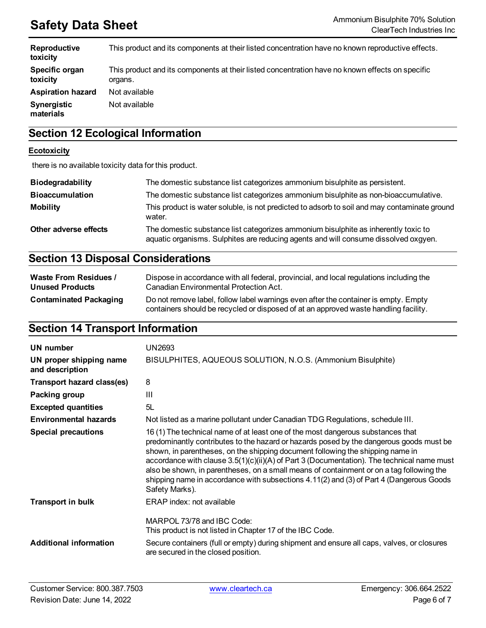| Reproductive<br>toxicity   | This product and its components at their listed concentration have no known reproductive effects.          |
|----------------------------|------------------------------------------------------------------------------------------------------------|
| Specific organ<br>toxicity | This product and its components at their listed concentration have no known effects on specific<br>organs. |
| <b>Aspiration hazard</b>   | Not available                                                                                              |
| Synergistic<br>materials   | Not available                                                                                              |

# **Section 12 Ecological Information**

#### **Ecotoxicity**

there is no available toxicity data for this product.

| Biodegradability       | The domestic substance list categorizes ammonium bisulphite as persistent.                                                                                                |
|------------------------|---------------------------------------------------------------------------------------------------------------------------------------------------------------------------|
| <b>Bioaccumulation</b> | The domestic substance list categorizes ammonium bisulphite as non-bioaccumulative.                                                                                       |
| <b>Mobility</b>        | This product is water soluble, is not predicted to adsorb to soil and may contaminate ground<br>water.                                                                    |
| Other adverse effects  | The domestic substance list categorizes ammonium bisulphite as inherently toxic to<br>aquatic organisms. Sulphites are reducing agents and will consume dissolved oxgyen. |

# **Section 13 Disposal Considerations**

| <b>Waste From Residues /</b>  | Dispose in accordance with all federal, provincial, and local regulations including the                                                                                     |
|-------------------------------|-----------------------------------------------------------------------------------------------------------------------------------------------------------------------------|
| <b>Unused Products</b>        | Canadian Environmental Protection Act.                                                                                                                                      |
| <b>Contaminated Packaging</b> | Do not remove label, follow label warnings even after the container is empty. Empty<br>containers should be recycled or disposed of at an approved waste handling facility. |

# **Section 14 Transport Information**

| UN number                                  | UN2693                                                                                                                                                                                                                                                                                                                                                                                                                                                                                                                                                                |
|--------------------------------------------|-----------------------------------------------------------------------------------------------------------------------------------------------------------------------------------------------------------------------------------------------------------------------------------------------------------------------------------------------------------------------------------------------------------------------------------------------------------------------------------------------------------------------------------------------------------------------|
| UN proper shipping name<br>and description | BISULPHITES, AQUEOUS SOLUTION, N.O.S. (Ammonium Bisulphite)                                                                                                                                                                                                                                                                                                                                                                                                                                                                                                           |
| Transport hazard class(es)                 | 8                                                                                                                                                                                                                                                                                                                                                                                                                                                                                                                                                                     |
| Packing group                              | Ш                                                                                                                                                                                                                                                                                                                                                                                                                                                                                                                                                                     |
| <b>Excepted quantities</b>                 | 5L                                                                                                                                                                                                                                                                                                                                                                                                                                                                                                                                                                    |
| <b>Environmental hazards</b>               | Not listed as a marine pollutant under Canadian TDG Regulations, schedule III.                                                                                                                                                                                                                                                                                                                                                                                                                                                                                        |
| <b>Special precautions</b>                 | 16 (1) The technical name of at least one of the most dangerous substances that<br>predominantly contributes to the hazard or hazards posed by the dangerous goods must be<br>shown, in parentheses, on the shipping document following the shipping name in<br>accordance with clause $3.5(1)(c)(ii)(A)$ of Part 3 (Documentation). The technical name must<br>also be shown, in parentheses, on a small means of containment or on a tag following the<br>shipping name in accordance with subsections 4.11(2) and (3) of Part 4 (Dangerous Goods<br>Safety Marks). |
| <b>Transport in bulk</b>                   | ERAP index: not available                                                                                                                                                                                                                                                                                                                                                                                                                                                                                                                                             |
|                                            | MARPOL 73/78 and IBC Code:<br>This product is not listed in Chapter 17 of the IBC Code.                                                                                                                                                                                                                                                                                                                                                                                                                                                                               |
| <b>Additional information</b>              | Secure containers (full or empty) during shipment and ensure all caps, valves, or closures<br>are secured in the closed position.                                                                                                                                                                                                                                                                                                                                                                                                                                     |